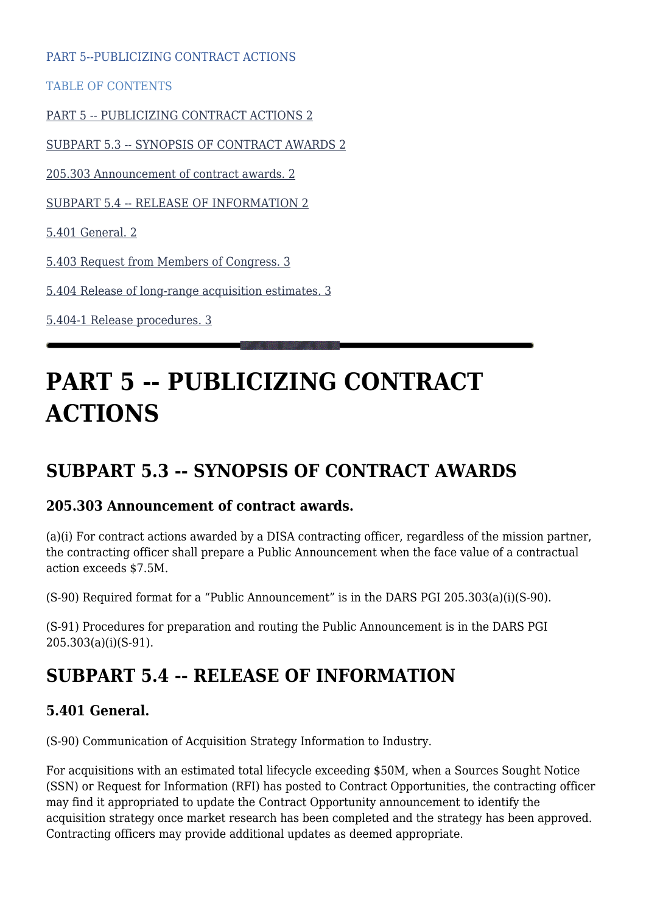PART 5--PUBLICIZING CONTRACT ACTIONS

TABLE OF CONTENTS

[PART 5 -- PUBLICIZING CONTRACT ACTIONS 2](#page--1-0)

[SUBPART 5.3 -- SYNOPSIS OF CONTRACT AWARDS 2](#page--1-0)

[205.303 Announcement of contract awards. 2](#page--1-0)

[SUBPART 5.4 -- RELEASE OF INFORMATION 2](#page--1-0)

[5.401 General. 2](#page--1-0)

[5.403 Request from Members of Congress. 3](#page--1-0)

[5.404 Release of long-range acquisition estimates. 3](#page--1-0)

[5.404-1 Release procedures. 3](#page--1-0)

# **PART 5 -- PUBLICIZING CONTRACT ACTIONS**

# **SUBPART 5.3 -- SYNOPSIS OF CONTRACT AWARDS**

#### **205.303 Announcement of contract awards.**

(a)(i) For contract actions awarded by a DISA contracting officer, regardless of the mission partner, the contracting officer shall prepare a Public Announcement when the face value of a contractual action exceeds \$7.5M.

(S-90) Required format for a "Public Announcement" is in the DARS PGI 205.303(a)(i)(S-90).

(S-91) Procedures for preparation and routing the Public Announcement is in the DARS PGI 205.303(a)(i)(S-91).

# **SUBPART 5.4 -- RELEASE OF INFORMATION**

#### **5.401 General.**

(S-90) Communication of Acquisition Strategy Information to Industry.

For acquisitions with an estimated total lifecycle exceeding \$50M, when a Sources Sought Notice (SSN) or Request for Information (RFI) has posted to Contract Opportunities, the contracting officer may find it appropriated to update the Contract Opportunity announcement to identify the acquisition strategy once market research has been completed and the strategy has been approved. Contracting officers may provide additional updates as deemed appropriate.